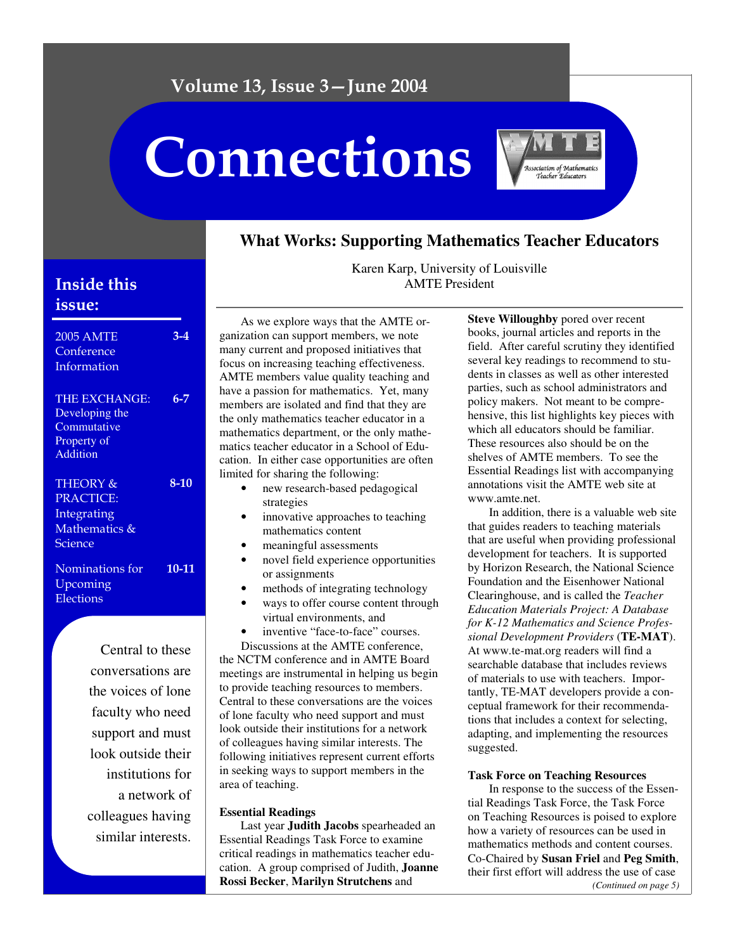# Connections



# **What Works: Supporting Mathematics Teacher Educators**

# **Inside this** issue:

| <b>2005 AMTE</b><br>Conference<br>Information                                    | 3-4    |
|----------------------------------------------------------------------------------|--------|
| <b>THE EXCHANGE:</b><br>Developing the<br>Commutative<br>Property of<br>Addition | 6-7    |
| THEORY &<br><b>PRACTICE:</b><br>Integrating<br>Mathematics &<br>Science          | $8-10$ |
| Nominations for<br>Upcoming<br>Elections                                         | 10-11  |

Central to these conversations are the voices of lone faculty who need support and must look outside their institutions for a network of colleagues having similar interests.

Karen Karp, University of Louisville AMTE President

As we explore ways that the AMTE organization can support members, we note many current and proposed initiatives that focus on increasing teaching effectiveness. AMTE members value quality teaching and have a passion for mathematics. Yet, many members are isolated and find that they are the only mathematics teacher educator in a mathematics department, or the only mathematics teacher educator in a School of Education. In either case opportunities are often limited for sharing the following:

- new research-based pedagogical strategies
- innovative approaches to teaching mathematics content
- meaningful assessments
- novel field experience opportunities or assignments
- methods of integrating technology
- ways to offer course content through virtual environments, and
- inventive "face-to-face" courses.

Discussions at the AMTE conference, the NCTM conference and in AMTE Board meetings are instrumental in helping us begin to provide teaching resources to members. Central to these conversations are the voices of lone faculty who need support and must look outside their institutions for a network of colleagues having similar interests. The following initiatives represent current efforts in seeking ways to support members in the area of teaching.

## **Essential Readings**

Last year **Judith Jacobs** spearheaded an Essential Readings Task Force to examine critical readings in mathematics teacher education. A group comprised of Judith, **Joanne Rossi Becker**, **Marilyn Strutchens** and

**Steve Willoughby** pored over recent books, journal articles and reports in the field. After careful scrutiny they identified several key readings to recommend to students in classes as well as other interested parties, such as school administrators and policy makers. Not meant to be comprehensive, this list highlights key pieces with which all educators should be familiar. These resources also should be on the shelves of AMTE members. To see the Essential Readings list with accompanying annotations visit the AMTE web site at www.amte.net.

In addition, there is a valuable web site that guides readers to teaching materials that are useful when providing professional development for teachers. It is supported by Horizon Research, the National Science Foundation and the Eisenhower National Clearinghouse, and is called the *Teacher Education Materials Project: A Database for K-12 Mathematics and Science Professional Development Providers* (**TE-MAT**). At www.te-mat.org readers will find a searchable database that includes reviews of materials to use with teachers. Importantly, TE-MAT developers provide a conceptual framework for their recommendations that includes a context for selecting, adapting, and implementing the resources suggested.

## **Task Force on Teaching Resources**

In response to the success of the Essential Readings Task Force, the Task Force on Teaching Resources is poised to explore how a variety of resources can be used in mathematics methods and content courses. Co-Chaired by **Susan Friel** and **Peg Smith**, their first effort will address the use of case *(Continued on page 5)*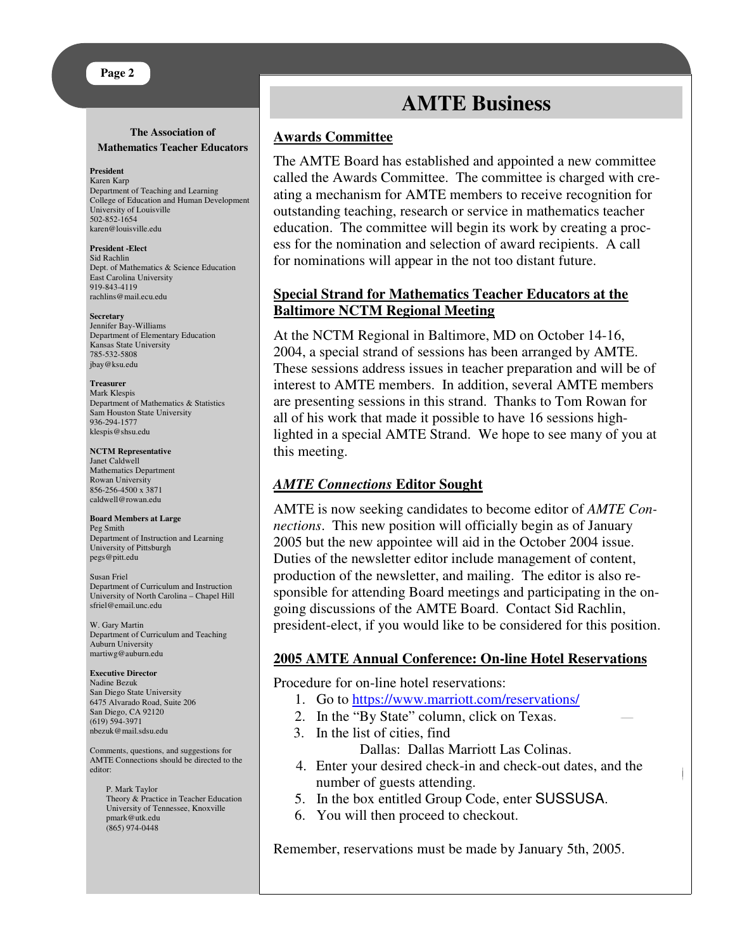### **Page 2**

#### **The Association of Mathematics Teacher Educators**

#### **President**

Karen Karp Department of Teaching and Learning College of Education and Human Development University of Louisville 502-852-1654 karen@louisville.edu

**President -Elect** Sid Rachlin Dept. of Mathematics & Science Education East Carolina University 919-843-4119 rachlins@mail.ecu.edu

#### **Secretary**

Jennifer Bay-Williams Department of Elementary Education Kansas State University 785-532-5808 jbay@ksu.edu

#### **Treasurer**

Mark Klespis Department of Mathematics & Statistics Sam Houston State University 936-294-1577 klespis@shsu.edu

#### **NCTM Representative**

Janet Caldwell Mathematics Department Rowan University 856-256-4500 x 3871 caldwell@rowan.edu

#### **Board Members at Large** Peg Smith

Department of Instruction and Learning University of Pittsburgh pegs@pitt.edu

Susan Friel Department of Curriculum and Instruction University of North Carolina – Chapel Hill sfriel@email.unc.edu

W. Gary Martin Department of Curriculum and Teaching Auburn University martiwg@auburn.edu

**Executive Director** Nadine Bezuk San Diego State University 6475 Alvarado Road, Suite 206 San Diego, CA 92120 (619) 594-3971 nbezuk@mail.sdsu.edu

Comments, questions, and suggestions for AMTE Connections should be directed to the editor:

P. Mark Taylor Theory & Practice in Teacher Education University of Tennessee, Knoxville pmark@utk.edu (865) 974-0448

# **AMTE Business**

# **Awards Committee**

The AMTE Board has established and appointed a new committee called the Awards Committee. The committee is charged with creating a mechanism for AMTE members to receive recognition for outstanding teaching, research or service in mathematics teacher education. The committee will begin its work by creating a process for the nomination and selection of award recipients. A call for nominations will appear in the not too distant future.

# **Special Strand for Mathematics Teacher Educators at the Baltimore NCTM Regional Meeting**

At the NCTM Regional in Baltimore, MD on October 14-16, 2004, a special strand of sessions has been arranged by AMTE. These sessions address issues in teacher preparation and will be of interest to AMTE members. In addition, several AMTE members are presenting sessions in this strand. Thanks to Tom Rowan for all of his work that made it possible to have 16 sessions highlighted in a special AMTE Strand. We hope to see many of you at this meeting.

# *AMTE Connections* **Editor Sought**

AMTE is now seeking candidates to become editor of *AMTE Connections*. This new position will officially begin as of January 2005 but the new appointee will aid in the October 2004 issue. Duties of the newsletter editor include management of content, production of the newsletter, and mailing. The editor is also responsible for attending Board meetings and participating in the ongoing discussions of the AMTE Board. Contact Sid Rachlin, president-elect, if you would like to be considered for this position.

# **2005 AMTE Annual Conference: On-line Hotel Reservations**

Procedure for on-line hotel reservations:

- 1. Go to https://www.marriott.com/reservations/
- 2. In the "By State" column, click on Texas.
- 3. In the list of cities, find
	- Dallas: Dallas Marriott Las Colinas.
- 4. Enter your desired check-in and check-out dates, and the number of guests attending.
- 5. In the box entitled Group Code, enter SUSSUSA.
- 6. You will then proceed to checkout.

Remember, reservations must be made by January 5th, 2005.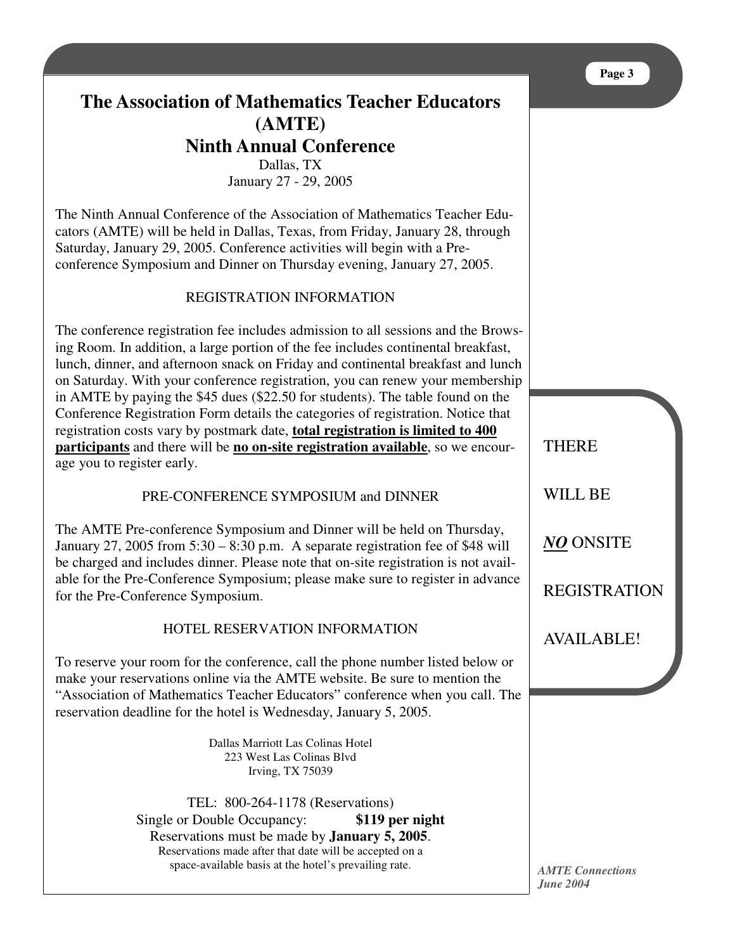# **The Association of Mathematics Teacher Educators (AMTE) Ninth Annual Conference** Dallas, TX

January 27 - 29, 2005

The Ninth Annual Conference of the Association of Mathematics Teacher Educators (AMTE) will be held in Dallas, Texas, from Friday, January 28, through Saturday, January 29, 2005. Conference activities will begin with a Preconference Symposium and Dinner on Thursday evening, January 27, 2005.

# REGISTRATION INFORMATION

The conference registration fee includes admission to all sessions and the Browsing Room. In addition, a large portion of the fee includes continental breakfast, lunch, dinner, and afternoon snack on Friday and continental breakfast and lunch on Saturday. With your conference registration, you can renew your membership in AMTE by paying the \$45 dues (\$22.50 for students). The table found on the Conference Registration Form details the categories of registration. Notice that registration costs vary by postmark date, **total registration is limited to 400 participants** and there will be **no on-site registration available**, so we encourage you to register early.

# PRE-CONFERENCE SYMPOSIUM and DINNER

The AMTE Pre-conference Symposium and Dinner will be held on Thursday, January 27, 2005 from 5:30 – 8:30 p.m. A separate registration fee of \$48 will be charged and includes dinner. Please note that on-site registration is not available for the Pre-Conference Symposium; please make sure to register in advance for the Pre-Conference Symposium.

# HOTEL RESERVATION INFORMATION

To reserve your room for the conference, call the phone number listed below or make your reservations online via the AMTE website. Be sure to mention the "Association of Mathematics Teacher Educators" conference when you call. The reservation deadline for the hotel is Wednesday, January 5, 2005.

> Dallas Marriott Las Colinas Hotel 223 West Las Colinas Blvd Irving, TX 75039

TEL: 800-264-1178 (Reservations) Single or Double Occupancy: **\$119 per night** Reservations must be made by **January 5, 2005**. Reservations made after that date will be accepted on a space-available basis at the hotel's prevailing rate.

**THERE** WILL BE *NO* ONSITE REGISTRATION

AVAILABLE!

*AMTE Connections June 2004*

### **Page 3**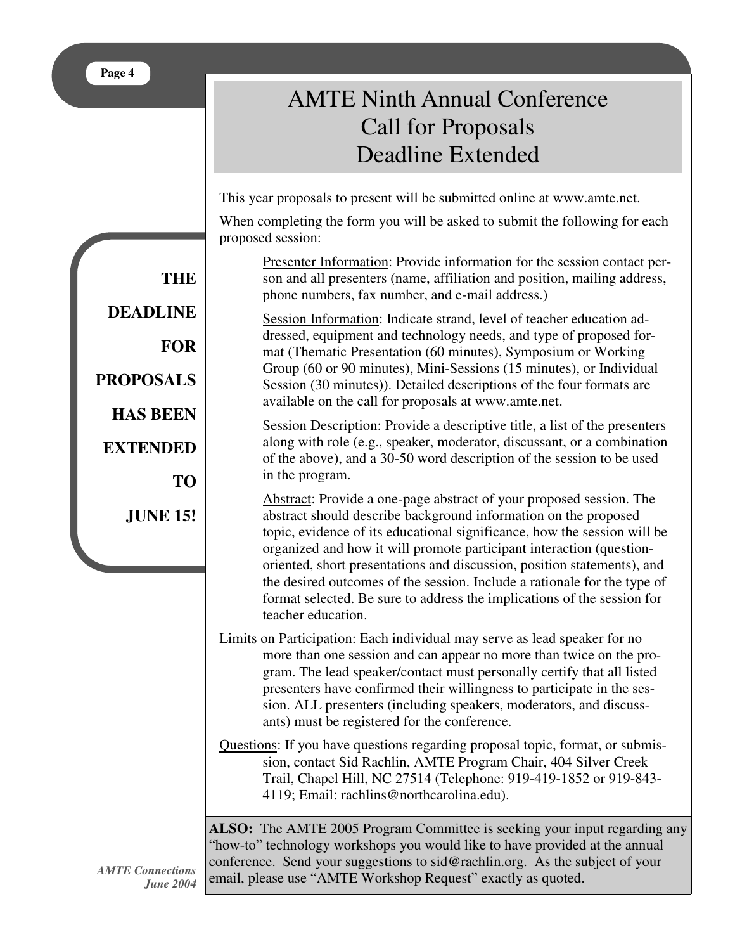# AMTE Ninth Annual Conference Call for Proposals Deadline Extended

This year proposals to present will be submitted online at www.amte.net.

When completing the form you will be asked to submit the following for each proposed session:

Presenter Information: Provide information for the session contact person and all presenters (name, affiliation and position, mailing address, phone numbers, fax number, and e-mail address.)

Session Information: Indicate strand, level of teacher education addressed, equipment and technology needs, and type of proposed format (Thematic Presentation (60 minutes), Symposium or Working Group (60 or 90 minutes), Mini-Sessions (15 minutes), or Individual Session (30 minutes)). Detailed descriptions of the four formats are available on the call for proposals at www.amte.net.

Session Description: Provide a descriptive title, a list of the presenters along with role (e.g., speaker, moderator, discussant, or a combination of the above), and a 30-50 word description of the session to be used in the program.

Abstract: Provide a one-page abstract of your proposed session. The abstract should describe background information on the proposed topic, evidence of its educational significance, how the session will be organized and how it will promote participant interaction (questionoriented, short presentations and discussion, position statements), and the desired outcomes of the session. Include a rationale for the type of format selected. Be sure to address the implications of the session for teacher education.

- Limits on Participation: Each individual may serve as lead speaker for no more than one session and can appear no more than twice on the program. The lead speaker/contact must personally certify that all listed presenters have confirmed their willingness to participate in the session. ALL presenters (including speakers, moderators, and discussants) must be registered for the conference.
- Questions: If you have questions regarding proposal topic, format, or submission, contact Sid Rachlin, AMTE Program Chair, 404 Silver Creek Trail, Chapel Hill, NC 27514 (Telephone: 919-419-1852 or 919-843- 4119; Email: rachlins@northcarolina.edu).

**ALSO:** The AMTE 2005 Program Committee is seeking your input regarding any "how-to" technology workshops you would like to have provided at the annual conference. Send your suggestions to sid@rachlin.org. As the subject of your email, please use "AMTE Workshop Request" exactly as quoted.

**THE DEADLINE FOR PROPOSALS HAS BEEN EXTENDED TO JUNE 15!**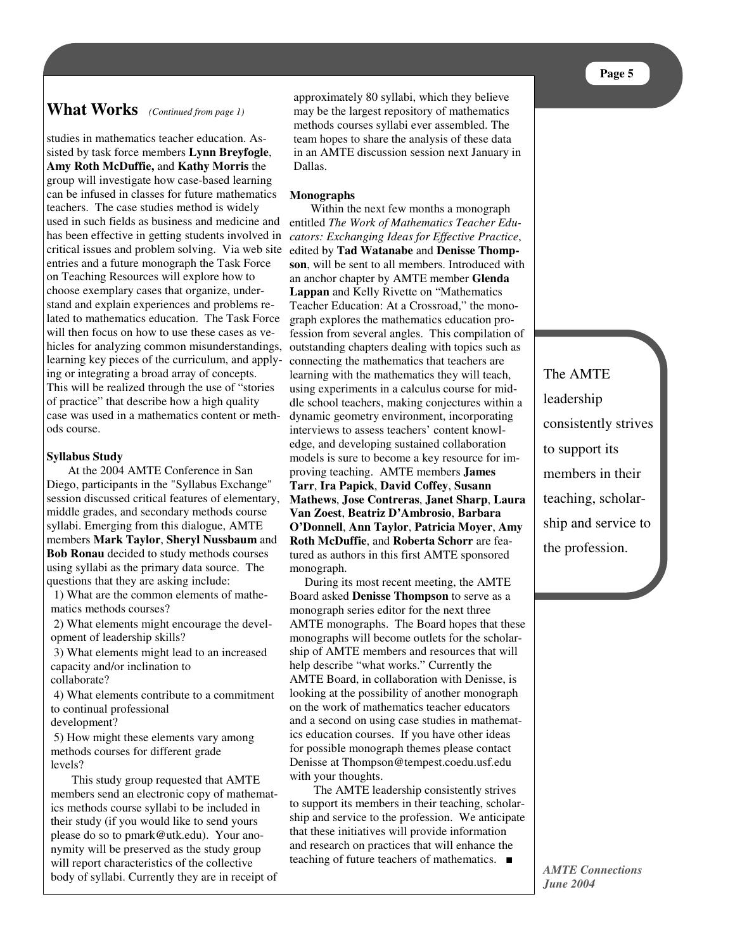# **What Works** *(Continued from page 1)*

studies in mathematics teacher education. Assisted by task force members **Lynn Breyfogle**, **Amy Roth McDuffie,** and **Kathy Morris** the group will investigate how case-based learning can be infused in classes for future mathematics teachers. The case studies method is widely used in such fields as business and medicine and has been effective in getting students involved in critical issues and problem solving. Via web site entries and a future monograph the Task Force on Teaching Resources will explore how to choose exemplary cases that organize, understand and explain experiences and problems related to mathematics education. The Task Force will then focus on how to use these cases as vehicles for analyzing common misunderstandings, learning key pieces of the curriculum, and applying or integrating a broad array of concepts. This will be realized through the use of "stories of practice" that describe how a high quality case was used in a mathematics content or methods course.

### **Syllabus Study**

At the 2004 AMTE Conference in San Diego, participants in the "Syllabus Exchange" session discussed critical features of elementary, middle grades, and secondary methods course syllabi. Emerging from this dialogue, AMTE members **Mark Taylor**, **Sheryl Nussbaum** and **Bob Ronau** decided to study methods courses using syllabi as the primary data source. The questions that they are asking include:

1) What are the common elements of mathematics methods courses?

2) What elements might encourage the development of leadership skills?

3) What elements might lead to an increased capacity and/or inclination to collaborate?

4) What elements contribute to a commitment to continual professional

development?

5) How might these elements vary among methods courses for different grade levels?

This study group requested that AMTE members send an electronic copy of mathematics methods course syllabi to be included in their study (if you would like to send yours please do so to pmark@utk.edu). Your anonymity will be preserved as the study group will report characteristics of the collective body of syllabi. Currently they are in receipt of

approximately 80 syllabi, which they believe may be the largest repository of mathematics methods courses syllabi ever assembled. The team hopes to share the analysis of these data in an AMTE discussion session next January in Dallas.

### **Monographs**

Within the next few months a monograph entitled *The Work of Mathematics Teacher Educators: Exchanging Ideas for Effective Practice*, edited by **Tad Watanabe** and **Denisse Thompson**, will be sent to all members. Introduced with an anchor chapter by AMTE member **Glenda Lappan** and Kelly Rivette on "Mathematics Teacher Education: At a Crossroad," the monograph explores the mathematics education profession from several angles. This compilation of outstanding chapters dealing with topics such as connecting the mathematics that teachers are learning with the mathematics they will teach, using experiments in a calculus course for middle school teachers, making conjectures within a dynamic geometry environment, incorporating interviews to assess teachers' content knowledge, and developing sustained collaboration models is sure to become a key resource for improving teaching. AMTE members **James Tarr**, **Ira Papick**, **David Coffey**, **Susann Mathews**, **Jose Contreras**, **Janet Sharp**, **Laura Van Zoest**, **Beatriz D'Ambrosio**, **Barbara O'Donnell**, **Ann Taylor**, **Patricia Moyer**, **Amy Roth McDuffie**, and **Roberta Schorr** are featured as authors in this first AMTE sponsored monograph.

During its most recent meeting, the AMTE Board asked **Denisse Thompson** to serve as a monograph series editor for the next three AMTE monographs. The Board hopes that these monographs will become outlets for the scholarship of AMTE members and resources that will help describe "what works." Currently the AMTE Board, in collaboration with Denisse, is looking at the possibility of another monograph on the work of mathematics teacher educators and a second on using case studies in mathematics education courses. If you have other ideas for possible monograph themes please contact Denisse at Thompson@tempest.coedu.usf.edu with your thoughts.

The AMTE leadership consistently strives to support its members in their teaching, scholarship and service to the profession. We anticipate that these initiatives will provide information and research on practices that will enhance the teaching of future teachers of mathematics. ■

The AMTE leadership consistently strives to support its members in their teaching, scholarship and service to the profession.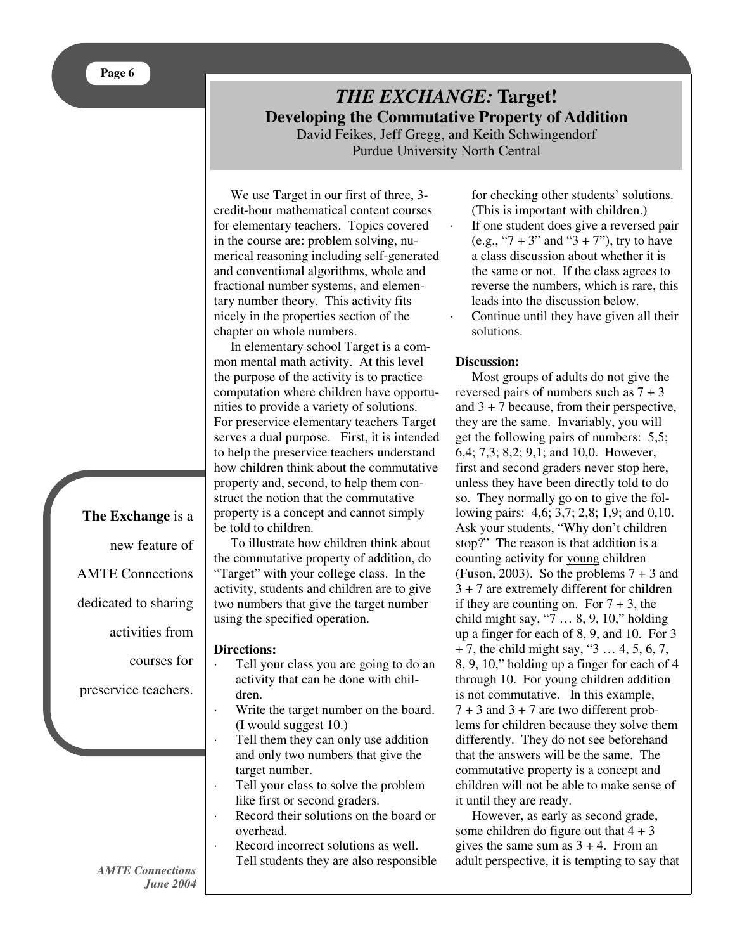# *THE EXCHANGE:* **Target! Developing the Commutative Property of Addition**

David Feikes, Jeff Gregg, and Keith Schwingendorf Purdue University North Central

We use Target in our first of three, 3 credit-hour mathematical content courses for elementary teachers. Topics covered in the course are: problem solving, numerical reasoning including self-generated and conventional algorithms, whole and fractional number systems, and elementary number theory. This activity fits nicely in the properties section of the chapter on whole numbers.

In elementary school Target is a common mental math activity. At this level the purpose of the activity is to practice computation where children have opportunities to provide a variety of solutions. For preservice elementary teachers Target serves a dual purpose. First, it is intended to help the preservice teachers understand how children think about the commutative property and, second, to help them construct the notion that the commutative property is a concept and cannot simply be told to children.

To illustrate how children think about the commutative property of addition, do "Target" with your college class. In the activity, students and children are to give two numbers that give the target number using the specified operation.

## **Directions:**

- Tell your class you are going to do an activity that can be done with children.
- Write the target number on the board. (I would suggest 10.)
- Tell them they can only use addition and only two numbers that give the target number.
- Tell your class to solve the problem like first or second graders.
- Record their solutions on the board or overhead.
- Record incorrect solutions as well. Tell students they are also responsible

for checking other students' solutions. (This is important with children.)

- · If one student does give a reversed pair (e.g., " $7 + 3$ " and " $3 + 7$ "), try to have a class discussion about whether it is the same or not. If the class agrees to reverse the numbers, which is rare, this leads into the discussion below. Continue until they have given all their
	- solutions.

### **Discussion:**

Most groups of adults do not give the reversed pairs of numbers such as  $7 + 3$ and  $3 + 7$  because, from their perspective, they are the same. Invariably, you will get the following pairs of numbers: 5,5; 6,4; 7,3; 8,2; 9,1; and 10,0. However, first and second graders never stop here, unless they have been directly told to do so. They normally go on to give the following pairs: 4,6; 3,7; 2,8; 1,9; and 0,10. Ask your students, "Why don't children stop?" The reason is that addition is a counting activity for young children (Fuson, 2003). So the problems  $7 + 3$  and 3 + 7 are extremely different for children if they are counting on. For  $7 + 3$ , the child might say, "7 … 8, 9, 10," holding up a finger for each of 8, 9, and 10. For 3  $+ 7$ , the child might say, "3 ... 4, 5, 6, 7, 8, 9, 10," holding up a finger for each of 4 through 10. For young children addition is not commutative. In this example,  $7 + 3$  and  $3 + 7$  are two different problems for children because they solve them differently. They do not see beforehand that the answers will be the same. The commutative property is a concept and children will not be able to make sense of it until they are ready.

However, as early as second grade, some children do figure out that  $4 + 3$ gives the same sum as  $3 + 4$ . From an adult perspective, it is tempting to say that

**The Exchange** is a new feature of AMTE Connections dedicated to sharing activities from courses for preservice teachers.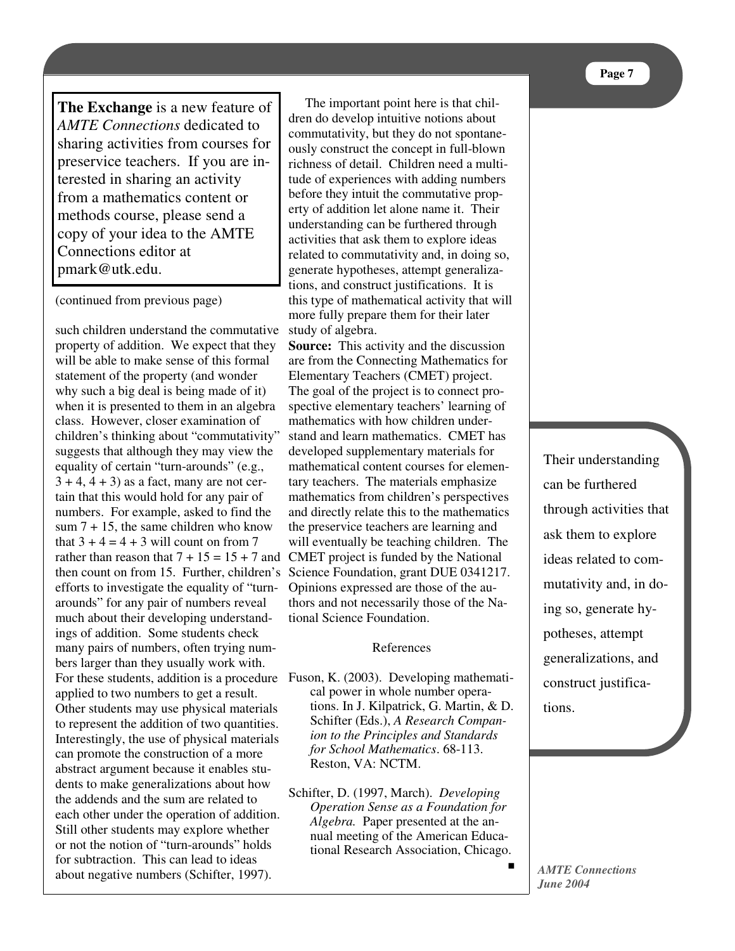preservice teachers. If you are in terested in sharing an activity  $\frac{1}{2}$   $\frac{1}{2}$   $\frac{1}{2}$   $\frac{1}{2}$   $\frac{1}{2}$   $\frac{1}{2}$   $\frac{1}{2}$   $\frac{1}{2}$   $\frac{1}{2}$   $\frac{1}{2}$   $\frac{1}{2}$   $\frac{1}{2}$   $\frac{1}{2}$   $\frac{1}{2}$   $\frac{1}{2}$   $\frac{1}{2}$   $\frac{1}{2}$   $\frac{1}{2}$   $\frac{1}{2}$   $\frac{1}{2}$   $\frac{1}{2}$   $\frac{1}{2}$  methods course, please send a copy of your idea to the AMTE **The Exchange** is a new feature of *AMTE Connections* dedicated to sharing activities from courses for from a mathematics content or Connections editor at pmark@utk.edu.

(continued from previous page)

property of addition. We expect that they S will be able to make sense of this formal are from the  why such a big deal is being made of it) when it is presented to them in an algebra class. However, closer examination of  $\frac{1}{2}$ . ematen's uniking about commutativity<br>suggests that although they may view the  children's thinking about "commutativity" to represent the addition of two quantities. Interestingly, the use of physical materials example, the use of physical indication<br>can promote the construction of a more abstract argument because it enables students to make generalizations about how solutions the addends and the sum are related to  $\overline{a}$  each other under the operation of addition. Still other students may explore whether  $\frac{Al}{m}$  $\frac{1}{1}$  ...  $\frac{1}{1}$ or not the notion of "turn-arounds" holds  $\frac{1}{11}$ for subtraction. This can lead to ideas  about negative numbers (Schifter, 1997). -  tain that this would hold for any pair of numbers. For example, asked to find the such children understand the commutative statement of the property (and wonder equality of certain "turn-arounds" (e.g.,  $3 + 4$ ,  $4 + 3$ ) as a fact, many are not cersum  $7 + 15$ , the same children who know that  $3 + 4 = 4 + 3$  will count on from 7 rather than reason that  $7 + 15 = 15 + 7$  and then count on from 15. Further, children's efforts to investigate the equality of "turnarounds" for any pair of numbers reveal much about their developing understandings of addition. Some students check many pairs of numbers, often trying numbers larger than they usually work with. applied to two numbers to get a result. Other students may use physical materials

richness of detail. Children need a multi- before they intuit the commutative prop-  erty of addition let alone name it. Their **EXECUTE:** understanding can be furthered through    activities that ask them to explore ideas expected to commutativity and in doing on  $\sum_{i=1}^{n}$ tions, and construct justifications. It is  )
 this type of mathematical activity that will more fully prepare them for their later ommutative study of algebra.  $\frac{1}{4}$  11'  $\frac{1}{4}$ tude of experiences with adding numbers related to commutativity and, in doing so, generate hypotheses, attempt generaliza-  more fully prepare them for their later The important point here is that children do develop intuitive notions about commutativity, but they do not spontaneously construct the concept in full-blown

 $\frac{1}{16}$ his formal are from the Connecting Mathematics for wonder Elementary Teachers (CMET) project.  The goal of the project is to connect progebra spective elementary teachers' learning of mathematics with how children under- developed supplementary materials for **Source:** This activity and the discussion stand and learn mathematics. CMET has mathematical content courses for elementary teachers. The materials emphasize mathematics from children's perspectives and directly relate this to the mathematics the preservice teachers are learning and will eventually be teaching children. The CMET project is funded by the National Science Foundation, grant DUE 0341217. Opinions expressed are those of the authors and not necessarily those of the National Science Foundation.

### References

- + Schifter (Eds.), *A Research Compan- ion to the Principles and Standards* represente standardos *for School Mathematics*. 68-113.  $R_{\text{TableS}}$   $\text{Reston, VA: NCTM.}$ For these students, addition is a procedure Fuson, K. (2003). Developing mathematical power in whole number operations. In J. Kilpatrick, G. Martin, & D.
	- $\overline{a}$   $\overline{b}$   $\overline{c}$   $\overline{c}$   $\overline{c}$   $\overline{c}$   $\overline{c}$   $\overline{c}$   $\overline{c}$   $\overline{c}$   $\overline{c}$   $\overline{c}$   $\overline{c}$   $\overline{c}$   $\overline{c}$   $\overline{c}$   $\overline{c}$   $\overline{c}$   $\overline{c}$   $\overline{c}$   $\overline{c}$   $\overline{c}$   $\overline{c}$   $\overline{c}$   $\overline{$   Schifter, D. (1997, March). *Developing* nci, D. (1777, wiarch). Developing<br>Operation Sense as a Foundation for Algebra. Paper presented at the an-  nual meeting of the American Educa- *Operation Sense as a Foundation for* , tional Research Association, Chicago.  $\blacksquare$

Their understanding can be furthered through activities that ask them to explore ideas related to commutativity and, in doing so, generate hypotheses, attempt generalizations, and construct justifications.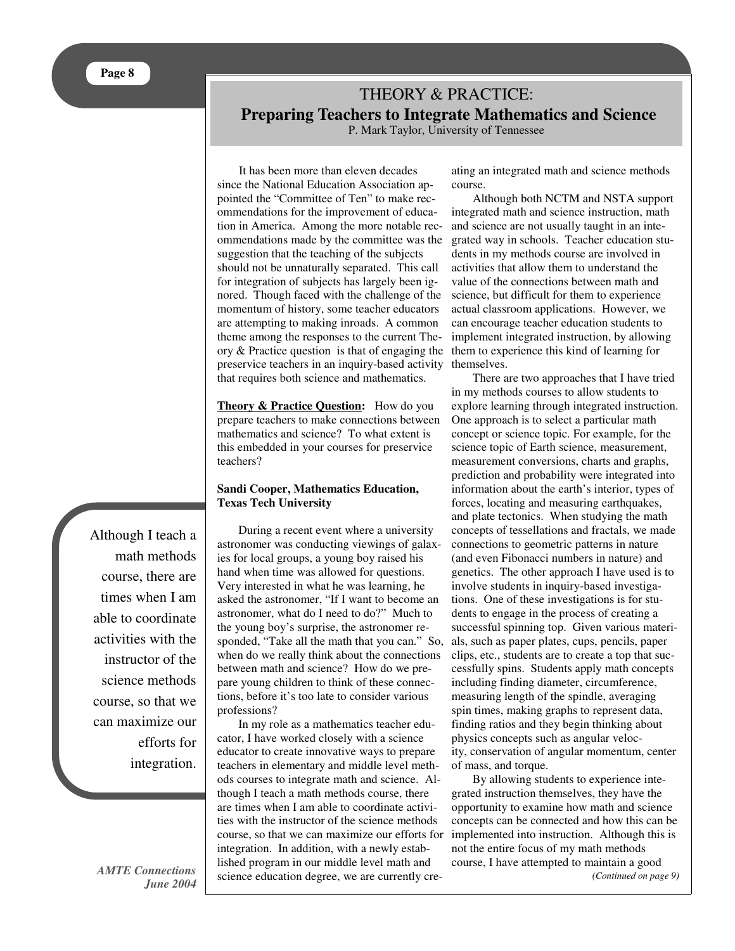# THEORY & PRACTICE: **Preparing Teachers to Integrate Mathematics and Science**

P. Mark Taylor, University of Tennessee

It has been more than eleven decades since the National Education Association appointed the "Committee of Ten" to make recommendations for the improvement of education in America. Among the more notable recommendations made by the committee was the suggestion that the teaching of the subjects should not be unnaturally separated. This call for integration of subjects has largely been ignored. Though faced with the challenge of the momentum of history, some teacher educators are attempting to making inroads. A common theme among the responses to the current Theory & Practice question is that of engaging the preservice teachers in an inquiry-based activity that requires both science and mathematics.

**Theory & Practice Question:** How do you prepare teachers to make connections between mathematics and science? To what extent is this embedded in your courses for preservice teachers?

### **Sandi Cooper, Mathematics Education, Texas Tech University**

During a recent event where a university astronomer was conducting viewings of galaxies for local groups, a young boy raised his hand when time was allowed for questions. Very interested in what he was learning, he asked the astronomer, "If I want to become an astronomer, what do I need to do?" Much to the young boy's surprise, the astronomer responded, "Take all the math that you can." So, when do we really think about the connections between math and science? How do we prepare young children to think of these connections, before it's too late to consider various professions?

In my role as a mathematics teacher educator, I have worked closely with a science educator to create innovative ways to prepare teachers in elementary and middle level methods courses to integrate math and science. Although I teach a math methods course, there are times when I am able to coordinate activities with the instructor of the science methods course, so that we can maximize our efforts for integration. In addition, with a newly established program in our middle level math and science education degree, we are currently cre-

ating an integrated math and science methods course.

Although both NCTM and NSTA support integrated math and science instruction, math and science are not usually taught in an integrated way in schools. Teacher education students in my methods course are involved in activities that allow them to understand the value of the connections between math and science, but difficult for them to experience actual classroom applications. However, we can encourage teacher education students to implement integrated instruction, by allowing them to experience this kind of learning for themselves.

There are two approaches that I have tried in my methods courses to allow students to explore learning through integrated instruction. One approach is to select a particular math concept or science topic. For example, for the science topic of Earth science, measurement, measurement conversions, charts and graphs, prediction and probability were integrated into information about the earth's interior, types of forces, locating and measuring earthquakes, and plate tectonics. When studying the math concepts of tessellations and fractals, we made connections to geometric patterns in nature (and even Fibonacci numbers in nature) and genetics. The other approach I have used is to involve students in inquiry-based investigations. One of these investigations is for students to engage in the process of creating a successful spinning top. Given various materials, such as paper plates, cups, pencils, paper clips, etc., students are to create a top that successfully spins. Students apply math concepts including finding diameter, circumference, measuring length of the spindle, averaging spin times, making graphs to represent data, finding ratios and they begin thinking about physics concepts such as angular velocity, conservation of angular momentum, center of mass, and torque.

By allowing students to experience integrated instruction themselves, they have the opportunity to examine how math and science concepts can be connected and how this can be implemented into instruction. Although this is not the entire focus of my math methods course, I have attempted to maintain a good *(Continued on page 9)*

Although I teach a math methods course, there are times when I am able to coordinate activities with the instructor of the science methods course, so that we can maximize our efforts for integration.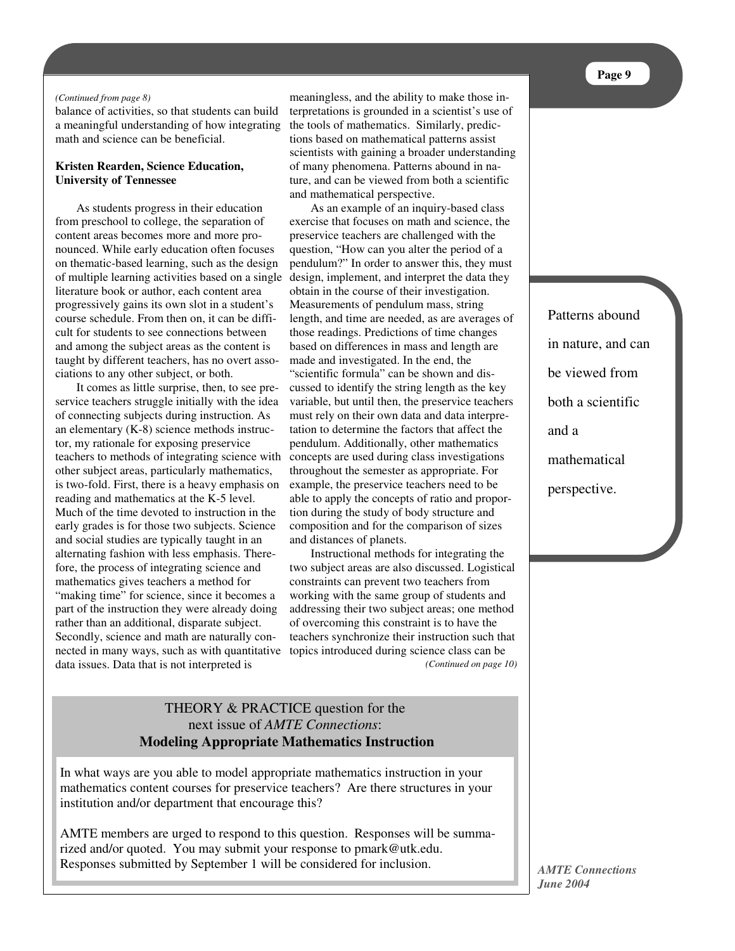### *(Continued from page 8)*

balance of activities, so that students can build a meaningful understanding of how integrating math and science can be beneficial.

## **Kristen Rearden, Science Education, University of Tennessee**

As students progress in their education from preschool to college, the separation of content areas becomes more and more pronounced. While early education often focuses on thematic-based learning, such as the design of multiple learning activities based on a single literature book or author, each content area progressively gains its own slot in a student's course schedule. From then on, it can be difficult for students to see connections between and among the subject areas as the content is taught by different teachers, has no overt associations to any other subject, or both.

It comes as little surprise, then, to see preservice teachers struggle initially with the idea of connecting subjects during instruction. As an elementary (K-8) science methods instructor, my rationale for exposing preservice teachers to methods of integrating science with other subject areas, particularly mathematics, is two-fold. First, there is a heavy emphasis on reading and mathematics at the K-5 level. Much of the time devoted to instruction in the early grades is for those two subjects. Science and social studies are typically taught in an alternating fashion with less emphasis. Therefore, the process of integrating science and mathematics gives teachers a method for "making time" for science, since it becomes a part of the instruction they were already doing rather than an additional, disparate subject. Secondly, science and math are naturally connected in many ways, such as with quantitative topics introduced during science class can be data issues. Data that is not interpreted is

meaningless, and the ability to make those interpretations is grounded in a scientist's use of the tools of mathematics. Similarly, predictions based on mathematical patterns assist scientists with gaining a broader understanding of many phenomena. Patterns abound in nature, and can be viewed from both a scientific and mathematical perspective.

As an example of an inquiry-based class exercise that focuses on math and science, the preservice teachers are challenged with the question, "How can you alter the period of a pendulum?" In order to answer this, they must design, implement, and interpret the data they obtain in the course of their investigation. Measurements of pendulum mass, string length, and time are needed, as are averages of those readings. Predictions of time changes based on differences in mass and length are made and investigated. In the end, the "scientific formula" can be shown and discussed to identify the string length as the key variable, but until then, the preservice teachers must rely on their own data and data interpretation to determine the factors that affect the pendulum. Additionally, other mathematics concepts are used during class investigations throughout the semester as appropriate. For example, the preservice teachers need to be able to apply the concepts of ratio and proportion during the study of body structure and composition and for the comparison of sizes and distances of planets.

Instructional methods for integrating the two subject areas are also discussed. Logistical constraints can prevent two teachers from working with the same group of students and addressing their two subject areas; one method of overcoming this constraint is to have the teachers synchronize their instruction such that *(Continued on page 10)*

# THEORY & PRACTICE question for the next issue of *AMTE Connections*: **Modeling Appropriate Mathematics Instruction**

In what ways are you able to model appropriate mathematics instruction in your mathematics content courses for preservice teachers? Are there structures in your institution and/or department that encourage this?

AMTE members are urged to respond to this question. Responses will be summarized and/or quoted. You may submit your response to pmark@utk.edu. Responses submitted by September 1 will be considered for inclusion.

Patterns abound in nature, and can be viewed from both a scientific and a mathematical perspective.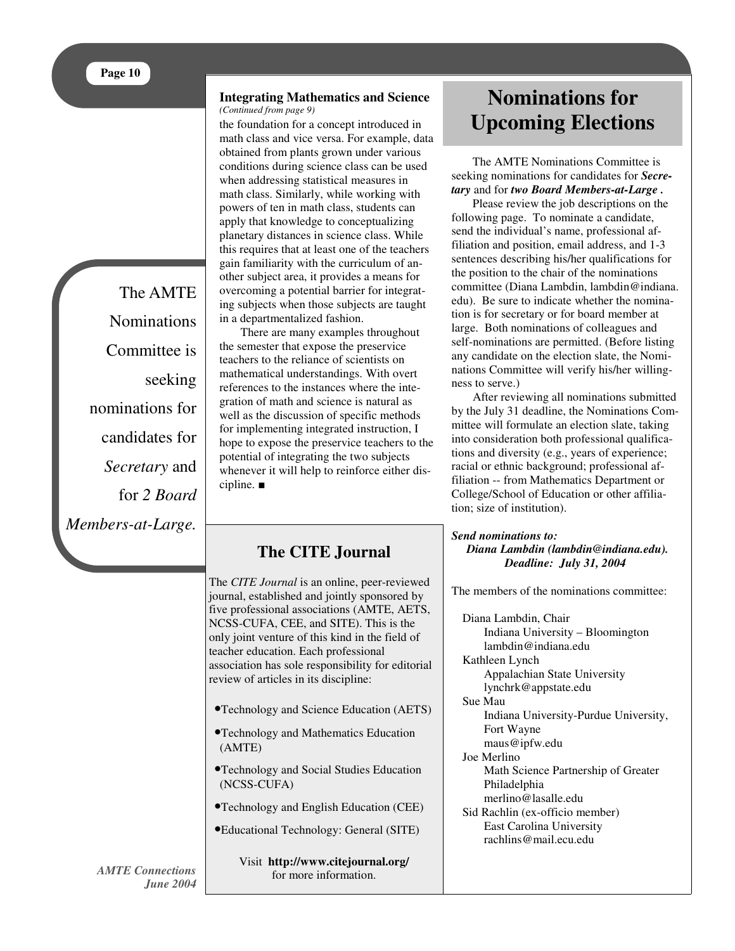The AMTE **Nominations** Committee is seeking nominations for candidates for *Secretary* and for *2 Board Members-at-Large.*

#### **Integrating Mathematics and Science** *(Continued from page 9)*

the foundation for a concept introduced in math class and vice versa. For example, data obtained from plants grown under various conditions during science class can be used when addressing statistical measures in math class. Similarly, while working with powers of ten in math class, students can apply that knowledge to conceptualizing planetary distances in science class. While this requires that at least one of the teachers gain familiarity with the curriculum of another subject area, it provides a means for overcoming a potential barrier for integrating subjects when those subjects are taught in a departmentalized fashion.

There are many examples throughout the semester that expose the preservice teachers to the reliance of scientists on mathematical understandings. With overt references to the instances where the integration of math and science is natural as well as the discussion of specific methods for implementing integrated instruction, I hope to expose the preservice teachers to the potential of integrating the two subjects whenever it will help to reinforce either discipline.  $\blacksquare$ 

# **The CITE Journal**

The *CITE Journal* is an online, peer-reviewed journal, established and jointly sponsored by five professional associations (AMTE, AETS, NCSS-CUFA, CEE, and SITE). This is the only joint venture of this kind in the field of teacher education. Each professional association has sole responsibility for editorial review of articles in its discipline:

- •Technology and Science Education (AETS)
- •Technology and Mathematics Education (AMTE)
- •Technology and Social Studies Education (NCSS-CUFA)
- •Technology and English Education (CEE)
- •Educational Technology: General (SITE)

Visit **http://www.citejournal.org/** for more information.

# **Nominations for Upcoming Elections**

The AMTE Nominations Committee is seeking nominations for candidates for *Secretary* and for *two Board Members-at-Large .*

Please review the job descriptions on the following page. To nominate a candidate, send the individual's name, professional affiliation and position, email address, and 1-3 sentences describing his/her qualifications for the position to the chair of the nominations committee (Diana Lambdin, lambdin@indiana. edu). Be sure to indicate whether the nomination is for secretary or for board member at large. Both nominations of colleagues and self-nominations are permitted. (Before listing any candidate on the election slate, the Nominations Committee will verify his/her willingness to serve.)

After reviewing all nominations submitted by the July 31 deadline, the Nominations Committee will formulate an election slate, taking into consideration both professional qualifications and diversity (e.g., years of experience; racial or ethnic background; professional affiliation -- from Mathematics Department or College/School of Education or other affiliation; size of institution).

### *Send nominations to: Diana Lambdin (lambdin@indiana.edu). Deadline: July 31, 2004*

The members of the nominations committee:

Diana Lambdin, Chair Indiana University – Bloomington lambdin@indiana.edu Kathleen Lynch

Appalachian State University lynchrk@appstate.edu

Sue Mau

Indiana University-Purdue University, Fort Wayne maus@ipfw.edu

Joe Merlino

Math Science Partnership of Greater Philadelphia merlino@lasalle.edu

Sid Rachlin (ex-officio member) East Carolina University rachlins@mail.ecu.edu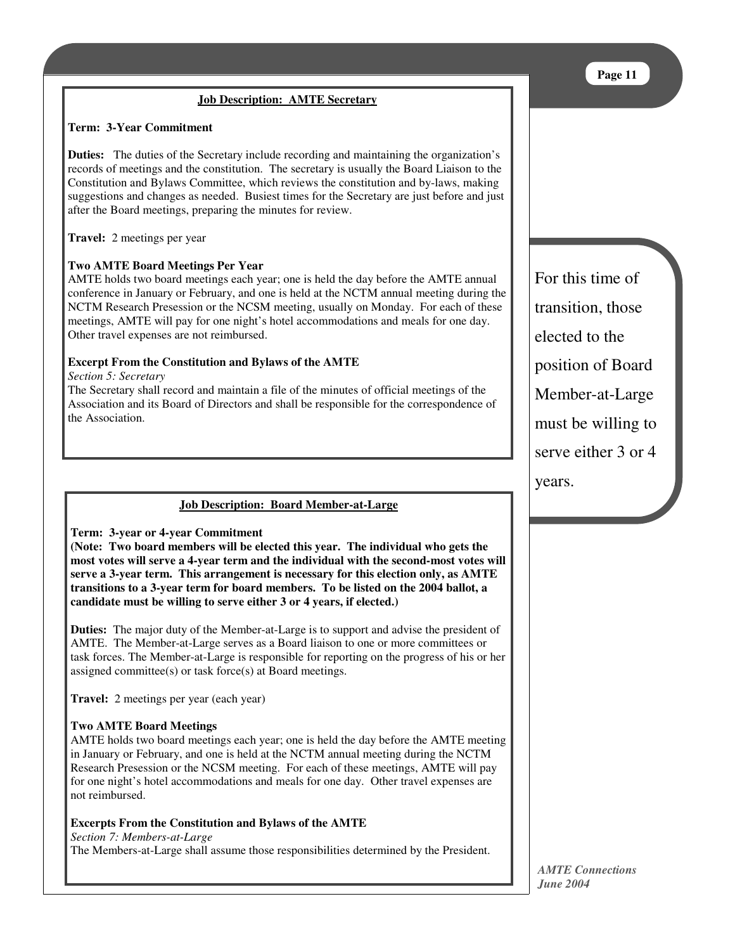# **Job Description: AMTE Secretary**

### **Term: 3-Year Commitment**

**Duties:** The duties of the Secretary include recording and maintaining the organization's records of meetings and the constitution. The secretary is usually the Board Liaison to the Constitution and Bylaws Committee, which reviews the constitution and by-laws, making suggestions and changes as needed. Busiest times for the Secretary are just before and just after the Board meetings, preparing the minutes for review.

**Travel:** 2 meetings per year

# **Two AMTE Board Meetings Per Year**

AMTE holds two board meetings each year; one is held the day before the AMTE annual conference in January or February, and one is held at the NCTM annual meeting during the NCTM Research Presession or the NCSM meeting, usually on Monday. For each of these meetings, AMTE will pay for one night's hotel accommodations and meals for one day. Other travel expenses are not reimbursed.

# **Excerpt From the Constitution and Bylaws of the AMTE**

*Section 5: Secretary*

The Secretary shall record and maintain a file of the minutes of official meetings of the Association and its Board of Directors and shall be responsible for the correspondence of the Association.

# **Job Description: Board Member-at-Large**

**Term: 3-year or 4-year Commitment**

**(Note: Two board members will be elected this year. The individual who gets the most votes will serve a 4-year term and the individual with the second-most votes will serve a 3-year term. This arrangement is necessary for this election only, as AMTE transitions to a 3-year term for board members. To be listed on the 2004 ballot, a candidate must be willing to serve either 3 or 4 years, if elected.)**

**Duties:** The major duty of the Member-at-Large is to support and advise the president of AMTE. The Member-at-Large serves as a Board liaison to one or more committees or task forces. The Member-at-Large is responsible for reporting on the progress of his or her assigned committee(s) or task force(s) at Board meetings.

**Travel:** 2 meetings per year (each year)

## **Two AMTE Board Meetings**

AMTE holds two board meetings each year; one is held the day before the AMTE meeting in January or February, and one is held at the NCTM annual meeting during the NCTM Research Presession or the NCSM meeting. For each of these meetings, AMTE will pay for one night's hotel accommodations and meals for one day. Other travel expenses are not reimbursed.

## **Excerpts From the Constitution and Bylaws of the AMTE**

### *Section 7: Members-at-Large*

The Members-at-Large shall assume those responsibilities determined by the President.

For this time of transition, those elected to the position of Board Member-at-Large must be willing to serve either 3 or 4 years.